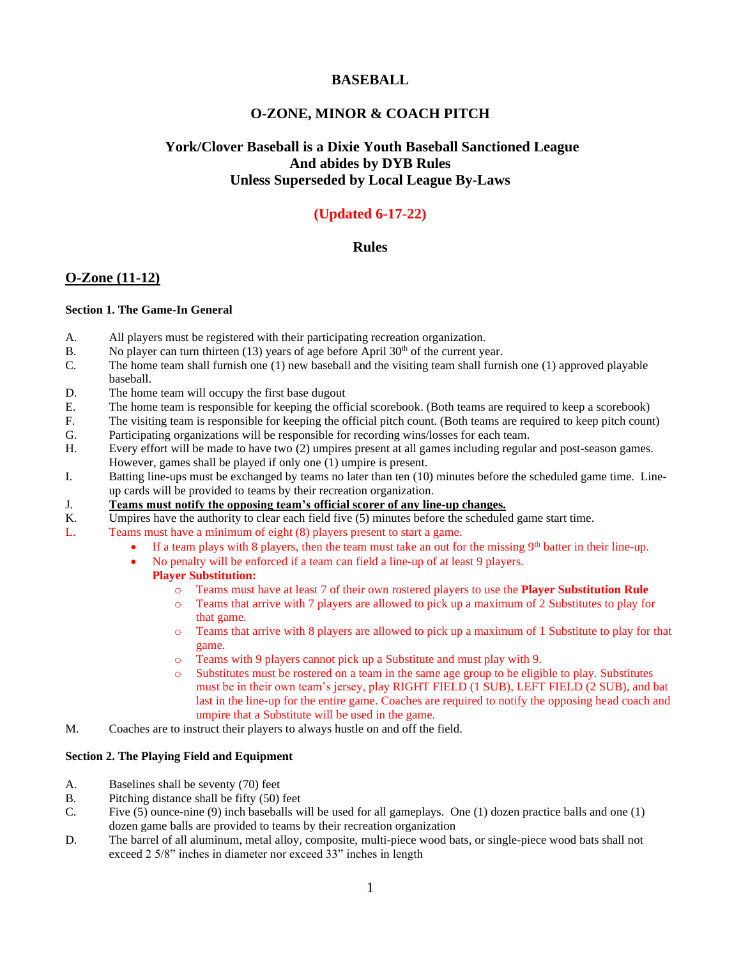## **BASEBALL**

# **O-ZONE, MINOR & COACH PITCH**

# **York/Clover Baseball is a Dixie Youth Baseball Sanctioned League And abides by DYB Rules Unless Superseded by Local League By-Laws**

# **(Updated 6-17-22)**

## **Rules**

## **O-Zone (11-12)**

#### **Section 1. The Game-In General**

- A. All players must be registered with their participating recreation organization.
- B. No player can turn thirteen  $(13)$  years of age before April 30<sup>th</sup> of the current year.
- C. The home team shall furnish one (1) new baseball and the visiting team shall furnish one (1) approved playable baseball.
- D. The home team will occupy the first base dugout
- E. The home team is responsible for keeping the official scorebook. (Both teams are required to keep a scorebook)
- F. The visiting team is responsible for keeping the official pitch count. (Both teams are required to keep pitch count)
- G. Participating organizations will be responsible for recording wins/losses for each team.
- H. Every effort will be made to have two (2) umpires present at all games including regular and post-season games. However, games shall be played if only one (1) umpire is present.
- I. Batting line-ups must be exchanged by teams no later than ten (10) minutes before the scheduled game time. Lineup cards will be provided to teams by their recreation organization.
- J. **Teams must notify the opposing team's official scorer of any line-up changes.**
- K. Umpires have the authority to clear each field five (5) minutes before the scheduled game start time.
- L. Teams must have a minimum of eight (8) players present to start a game.
	- If a team plays with 8 players, then the team must take an out for the missing  $9<sup>th</sup>$  batter in their line-up.
	- No penalty will be enforced if a team can field a line-up of at least 9 players.

## **Player Substitution:**

- o Teams must have at least 7 of their own rostered players to use the **Player Substitution Rule**
- o Teams that arrive with 7 players are allowed to pick up a maximum of 2 Substitutes to play for that game.
- o Teams that arrive with 8 players are allowed to pick up a maximum of 1 Substitute to play for that game.
- o Teams with 9 players cannot pick up a Substitute and must play with 9.
- o Substitutes must be rostered on a team in the same age group to be eligible to play. Substitutes must be in their own team's jersey, play RIGHT FIELD (1 SUB), LEFT FIELD (2 SUB), and bat last in the line-up for the entire game. Coaches are required to notify the opposing head coach and umpire that a Substitute will be used in the game.
- M. Coaches are to instruct their players to always hustle on and off the field.

## **Section 2. The Playing Field and Equipment**

- A. Baselines shall be seventy (70) feet
- B. Pitching distance shall be fifty (50) feet
- C. Five (5) ounce-nine (9) inch baseballs will be used for all gameplays. One (1) dozen practice balls and one (1) dozen game balls are provided to teams by their recreation organization
- D. The barrel of all aluminum, metal alloy, composite, multi-piece wood bats, or single-piece wood bats shall not exceed 2 5/8" inches in diameter nor exceed 33" inches in length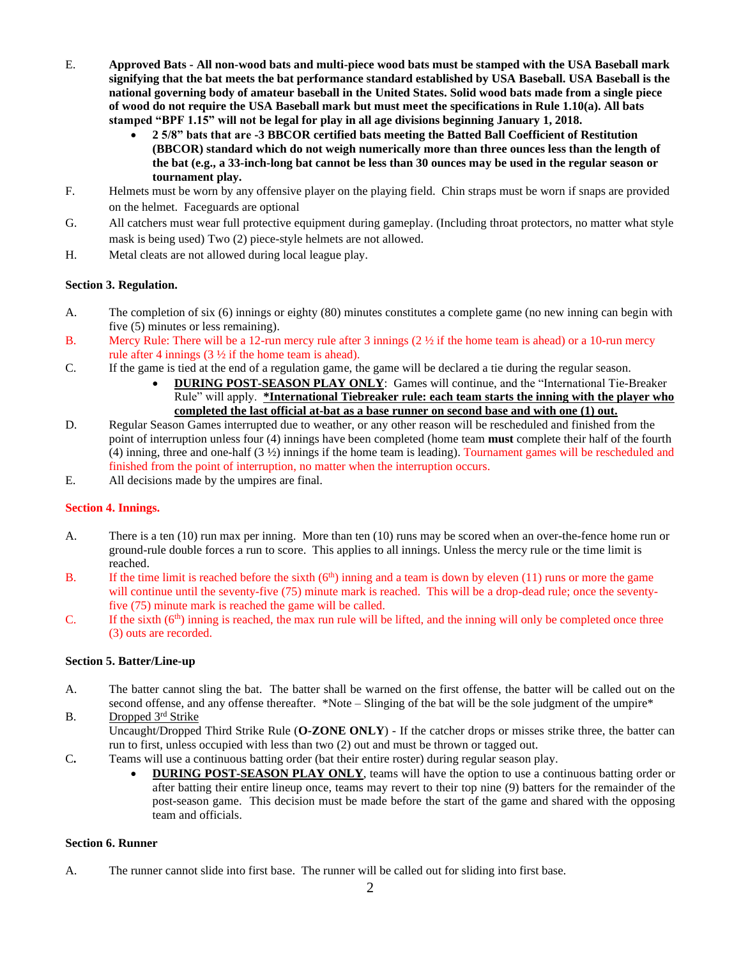- E. **Approved Bats - All non-wood bats and multi-piece wood bats must be stamped with the USA Baseball mark signifying that the bat meets the bat performance standard established by USA Baseball. USA Baseball is the national governing body of amateur baseball in the United States. Solid wood bats made from a single piece of wood do not require the USA Baseball mark but must meet the specifications in Rule 1.10(a). All bats stamped "BPF 1.15" will not be legal for play in all age divisions beginning January 1, 2018.** 
	- **2 5/8" bats that are -3 BBCOR certified bats meeting the Batted Ball Coefficient of Restitution (BBCOR) standard which do not weigh numerically more than three ounces less than the length of the bat (e.g., a 33-inch-long bat cannot be less than 30 ounces may be used in the regular season or tournament play.**
- F. Helmets must be worn by any offensive player on the playing field. Chin straps must be worn if snaps are provided on the helmet. Faceguards are optional
- G. All catchers must wear full protective equipment during gameplay. (Including throat protectors, no matter what style mask is being used) Two (2) piece-style helmets are not allowed.
- H. Metal cleats are not allowed during local league play.

#### **Section 3. Regulation.**

- A. The completion of six (6) innings or eighty (80) minutes constitutes a complete game (no new inning can begin with five (5) minutes or less remaining).
- B. Mercy Rule: There will be a 12-run mercy rule after 3 innings  $(2 \frac{1}{2})$  if the home team is ahead) or a 10-run mercy rule after 4 innings (3 ½ if the home team is ahead).
- C. If the game is tied at the end of a regulation game, the game will be declared a tie during the regular season.
	- **DURING POST-SEASON PLAY ONLY**: Games will continue, and the "International Tie-Breaker Rule" will apply. **\*International Tiebreaker rule: each team starts the inning with the player who completed the last official at-bat as a base runner on second base and with one (1) out.**
- D. Regular Season Games interrupted due to weather, or any other reason will be rescheduled and finished from the point of interruption unless four (4) innings have been completed (home team **must** complete their half of the fourth (4) inning, three and one-half (3 ½) innings if the home team is leading). Tournament games will be rescheduled and finished from the point of interruption, no matter when the interruption occurs.
- E. All decisions made by the umpires are final.

## **Section 4. Innings.**

- A. There is a ten (10) run max per inning. More than ten (10) runs may be scored when an over-the-fence home run or ground-rule double forces a run to score. This applies to all innings. Unless the mercy rule or the time limit is reached.
- B. If the time limit is reached before the sixth  $(6<sup>th</sup>)$  inning and a team is down by eleven (11) runs or more the game will continue until the seventy-five (75) minute mark is reached. This will be a drop-dead rule; once the seventyfive (75) minute mark is reached the game will be called.
- C. If the sixth  $(6<sup>th</sup>)$  inning is reached, the max run rule will be lifted, and the inning will only be completed once three (3) outs are recorded.

#### **Section 5. Batter/Line-up**

- A. The batter cannot sling the bat. The batter shall be warned on the first offense, the batter will be called out on the second offense, and any offense thereafter. \*Note – Slinging of the bat will be the sole judgment of the umpire\* B. Dropped 3rd Strike
- Uncaught/Dropped Third Strike Rule (**O-ZONE ONLY**) If the catcher drops or misses strike three, the batter can run to first, unless occupied with less than two (2) out and must be thrown or tagged out.
- C**.** Teams will use a continuous batting order (bat their entire roster) during regular season play.
	- **DURING POST-SEASON PLAY ONLY**, teams will have the option to use a continuous batting order or after batting their entire lineup once, teams may revert to their top nine (9) batters for the remainder of the post-season game. This decision must be made before the start of the game and shared with the opposing team and officials.

#### **Section 6. Runner**

A. The runner cannot slide into first base. The runner will be called out for sliding into first base.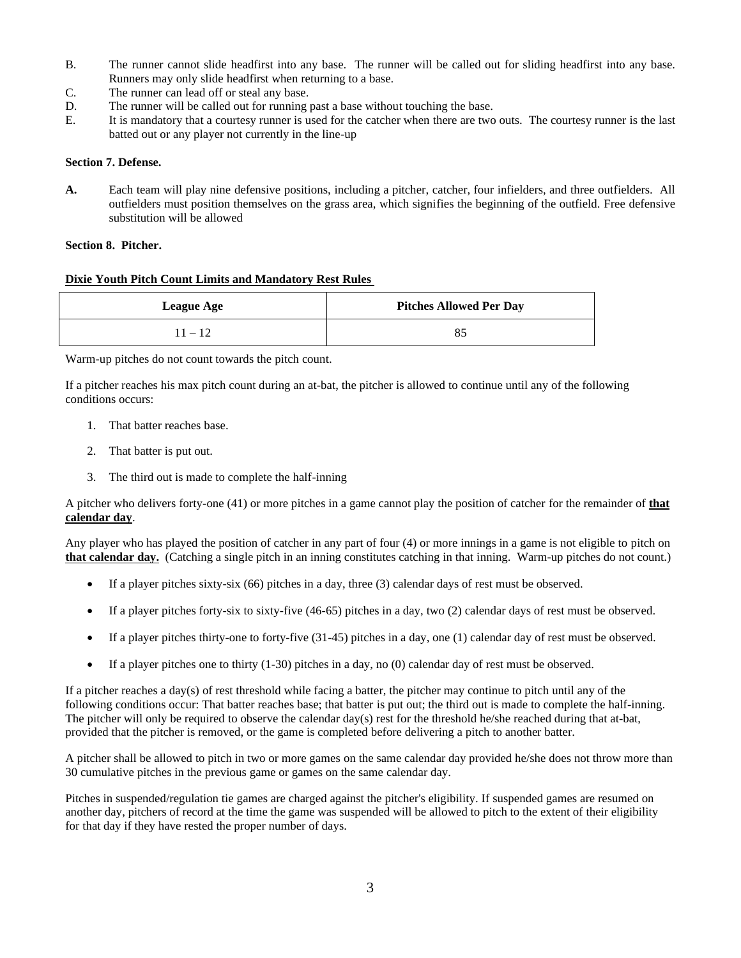- B. The runner cannot slide headfirst into any base. The runner will be called out for sliding headfirst into any base. Runners may only slide headfirst when returning to a base.
- C. The runner can lead off or steal any base.
- D. The runner will be called out for running past a base without touching the base.
- E. It is mandatory that a courtesy runner is used for the catcher when there are two outs. The courtesy runner is the last batted out or any player not currently in the line-up

#### **Section 7. Defense.**

**A.** Each team will play nine defensive positions, including a pitcher, catcher, four infielders, and three outfielders. All outfielders must position themselves on the grass area, which signifies the beginning of the outfield. Free defensive substitution will be allowed

#### **Section 8. Pitcher.**

#### **Dixie Youth Pitch Count Limits and Mandatory Rest Rules**

| <b>League Age</b> | <b>Pitches Allowed Per Day</b> |
|-------------------|--------------------------------|
| $11 - 12$         | 85                             |

Warm-up pitches do not count towards the pitch count.

If a pitcher reaches his max pitch count during an at-bat, the pitcher is allowed to continue until any of the following conditions occurs:

- 1. That batter reaches base.
- 2. That batter is put out.
- 3. The third out is made to complete the half-inning

A pitcher who delivers forty-one (41) or more pitches in a game cannot play the position of catcher for the remainder of **that calendar day**.

Any player who has played the position of catcher in any part of four (4) or more innings in a game is not eligible to pitch on **that calendar day.** (Catching a single pitch in an inning constitutes catching in that inning. Warm-up pitches do not count.)

- If a player pitches sixty-six (66) pitches in a day, three (3) calendar days of rest must be observed.
- If a player pitches forty-six to sixty-five (46-65) pitches in a day, two (2) calendar days of rest must be observed.
- If a player pitches thirty-one to forty-five (31-45) pitches in a day, one (1) calendar day of rest must be observed.
- If a player pitches one to thirty  $(1-30)$  pitches in a day, no  $(0)$  calendar day of rest must be observed.

If a pitcher reaches a day(s) of rest threshold while facing a batter, the pitcher may continue to pitch until any of the following conditions occur: That batter reaches base; that batter is put out; the third out is made to complete the half-inning. The pitcher will only be required to observe the calendar day(s) rest for the threshold he/she reached during that at-bat, provided that the pitcher is removed, or the game is completed before delivering a pitch to another batter.

A pitcher shall be allowed to pitch in two or more games on the same calendar day provided he/she does not throw more than 30 cumulative pitches in the previous game or games on the same calendar day.

Pitches in suspended/regulation tie games are charged against the pitcher's eligibility. If suspended games are resumed on another day, pitchers of record at the time the game was suspended will be allowed to pitch to the extent of their eligibility for that day if they have rested the proper number of days.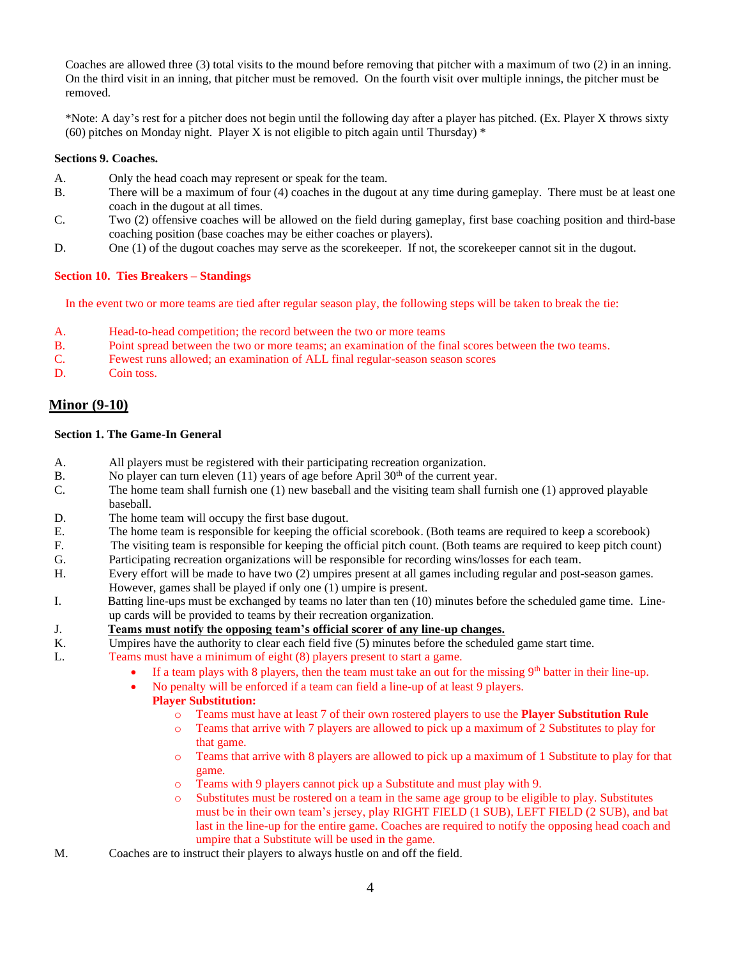Coaches are allowed three (3) total visits to the mound before removing that pitcher with a maximum of two (2) in an inning. On the third visit in an inning, that pitcher must be removed. On the fourth visit over multiple innings, the pitcher must be removed.

\*Note: A day's rest for a pitcher does not begin until the following day after a player has pitched. (Ex. Player X throws sixty (60) pitches on Monday night. Player X is not eligible to pitch again until Thursday)  $*$ 

### **Sections 9. Coaches.**

- A. Only the head coach may represent or speak for the team.
- B. There will be a maximum of four (4) coaches in the dugout at any time during gameplay. There must be at least one coach in the dugout at all times.
- C. Two (2) offensive coaches will be allowed on the field during gameplay, first base coaching position and third-base coaching position (base coaches may be either coaches or players).
- D. One (1) of the dugout coaches may serve as the scorekeeper. If not, the scorekeeper cannot sit in the dugout.

#### **Section 10. Ties Breakers – Standings**

In the event two or more teams are tied after regular season play, the following steps will be taken to break the tie:

- A. Head-to-head competition; the record between the two or more teams
- B. Point spread between the two or more teams; an examination of the final scores between the two teams.
- C. Fewest runs allowed; an examination of ALL final regular-season season scores
- D. Coin toss.

## **Minor (9-10)**

#### **Section 1. The Game-In General**

- A. All players must be registered with their participating recreation organization.
- B. No player can turn eleven  $(11)$  years of age before April 30<sup>th</sup> of the current year.
- C. The home team shall furnish one (1) new baseball and the visiting team shall furnish one (1) approved playable baseball.
- D. The home team will occupy the first base dugout.
- E. The home team is responsible for keeping the official scorebook. (Both teams are required to keep a scorebook)
- F. The visiting team is responsible for keeping the official pitch count. (Both teams are required to keep pitch count)
- G. Participating recreation organizations will be responsible for recording wins/losses for each team.
- H. Every effort will be made to have two (2) umpires present at all games including regular and post-season games. However, games shall be played if only one (1) umpire is present.
- I. Batting line-ups must be exchanged by teams no later than ten (10) minutes before the scheduled game time. Lineup cards will be provided to teams by their recreation organization.
- J. **Teams must notify the opposing team's official scorer of any line-up changes.**
- K. Umpires have the authority to clear each field five (5) minutes before the scheduled game start time.
- L. Teams must have a minimum of eight (8) players present to start a game.
	- If a team plays with 8 players, then the team must take an out for the missing  $9<sup>th</sup>$  batter in their line-up.
		- No penalty will be enforced if a team can field a line-up of at least 9 players.

## **Player Substitution:**

- o Teams must have at least 7 of their own rostered players to use the **Player Substitution Rule**
- o Teams that arrive with 7 players are allowed to pick up a maximum of 2 Substitutes to play for that game.
- o Teams that arrive with 8 players are allowed to pick up a maximum of 1 Substitute to play for that game.
- o Teams with 9 players cannot pick up a Substitute and must play with 9.
- o Substitutes must be rostered on a team in the same age group to be eligible to play. Substitutes must be in their own team's jersey, play RIGHT FIELD (1 SUB), LEFT FIELD (2 SUB), and bat last in the line-up for the entire game. Coaches are required to notify the opposing head coach and umpire that a Substitute will be used in the game.
- M. Coaches are to instruct their players to always hustle on and off the field.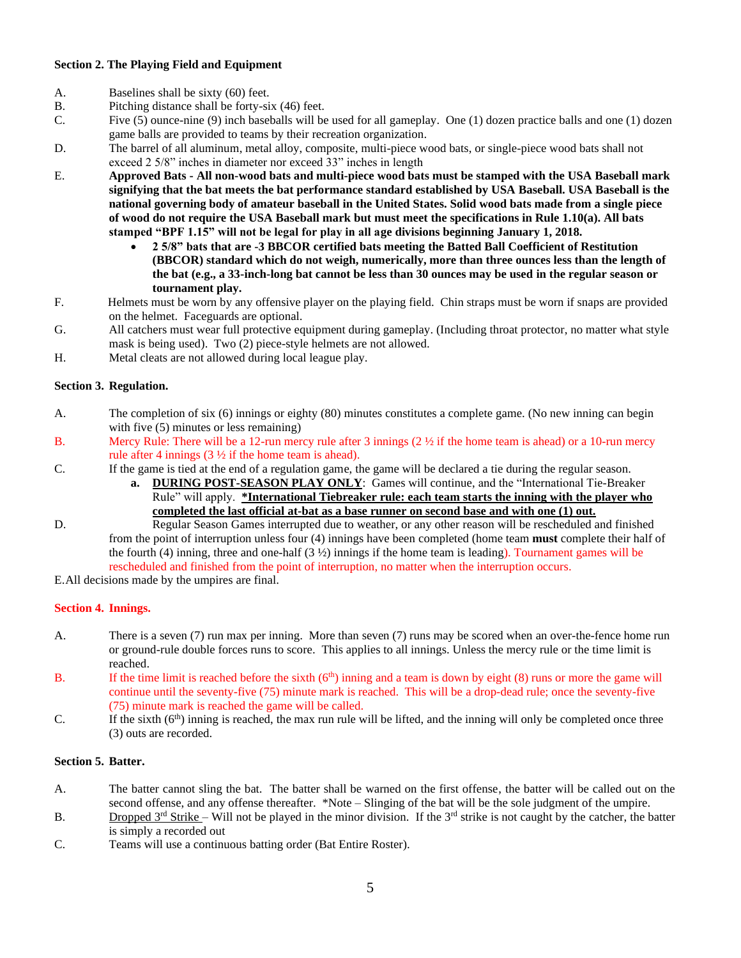## **Section 2. The Playing Field and Equipment**

- A. Baselines shall be sixty (60) feet.
- B. Pitching distance shall be forty-six (46) feet.
- C. Five (5) ounce-nine (9) inch baseballs will be used for all gameplay. One (1) dozen practice balls and one (1) dozen game balls are provided to teams by their recreation organization.
- D. The barrel of all aluminum, metal alloy, composite, multi-piece wood bats, or single-piece wood bats shall not exceed 2 5/8" inches in diameter nor exceed 33" inches in length
- E. **Approved Bats - All non-wood bats and multi-piece wood bats must be stamped with the USA Baseball mark signifying that the bat meets the bat performance standard established by USA Baseball. USA Baseball is the national governing body of amateur baseball in the United States. Solid wood bats made from a single piece of wood do not require the USA Baseball mark but must meet the specifications in Rule 1.10(a). All bats stamped "BPF 1.15" will not be legal for play in all age divisions beginning January 1, 2018.** 
	- **2 5/8" bats that are -3 BBCOR certified bats meeting the Batted Ball Coefficient of Restitution (BBCOR) standard which do not weigh, numerically, more than three ounces less than the length of the bat (e.g., a 33-inch-long bat cannot be less than 30 ounces may be used in the regular season or tournament play.**
- F. Helmets must be worn by any offensive player on the playing field. Chin straps must be worn if snaps are provided on the helmet. Faceguards are optional.
- G. All catchers must wear full protective equipment during gameplay. (Including throat protector, no matter what style mask is being used). Two (2) piece-style helmets are not allowed.
- H. Metal cleats are not allowed during local league play.

## **Section 3. Regulation.**

- A. The completion of six (6) innings or eighty (80) minutes constitutes a complete game. (No new inning can begin with five  $(5)$  minutes or less remaining)
- B. Mercy Rule: There will be a 12-run mercy rule after 3 innings  $(2 \frac{1}{2})$  if the home team is ahead) or a 10-run mercy rule after 4 innings (3 ½ if the home team is ahead).
- C. If the game is tied at the end of a regulation game, the game will be declared a tie during the regular season.
	- **a. DURING POST-SEASON PLAY ONLY**: Games will continue, and the "International Tie-Breaker Rule" will apply. **\*International Tiebreaker rule: each team starts the inning with the player who completed the last official at-bat as a base runner on second base and with one (1) out.**
- D. Regular Season Games interrupted due to weather, or any other reason will be rescheduled and finished from the point of interruption unless four (4) innings have been completed (home team **must** complete their half of the fourth (4) inning, three and one-half  $(3 \frac{1}{2})$  innings if the home team is leading). Tournament games will be rescheduled and finished from the point of interruption, no matter when the interruption occurs.

E.All decisions made by the umpires are final.

## **Section 4. Innings.**

- A. There is a seven (7) run max per inning. More than seven (7) runs may be scored when an over-the-fence home run or ground-rule double forces runs to score. This applies to all innings. Unless the mercy rule or the time limit is reached.
- B. If the time limit is reached before the sixth  $(6<sup>th</sup>)$  inning and a team is down by eight (8) runs or more the game will continue until the seventy-five (75) minute mark is reached. This will be a drop-dead rule; once the seventy-five (75) minute mark is reached the game will be called.
- C. If the sixth  $(6<sup>th</sup>)$  inning is reached, the max run rule will be lifted, and the inning will only be completed once three (3) outs are recorded.

### **Section 5. Batter.**

- A. The batter cannot sling the bat. The batter shall be warned on the first offense, the batter will be called out on the second offense, and any offense thereafter. \*Note – Slinging of the bat will be the sole judgment of the umpire.
- B. Dropped  $3^{rd}$  Strike Will not be played in the minor division. If the  $3^{rd}$  strike is not caught by the catcher, the batter is simply a recorded out
- C. Teams will use a continuous batting order (Bat Entire Roster).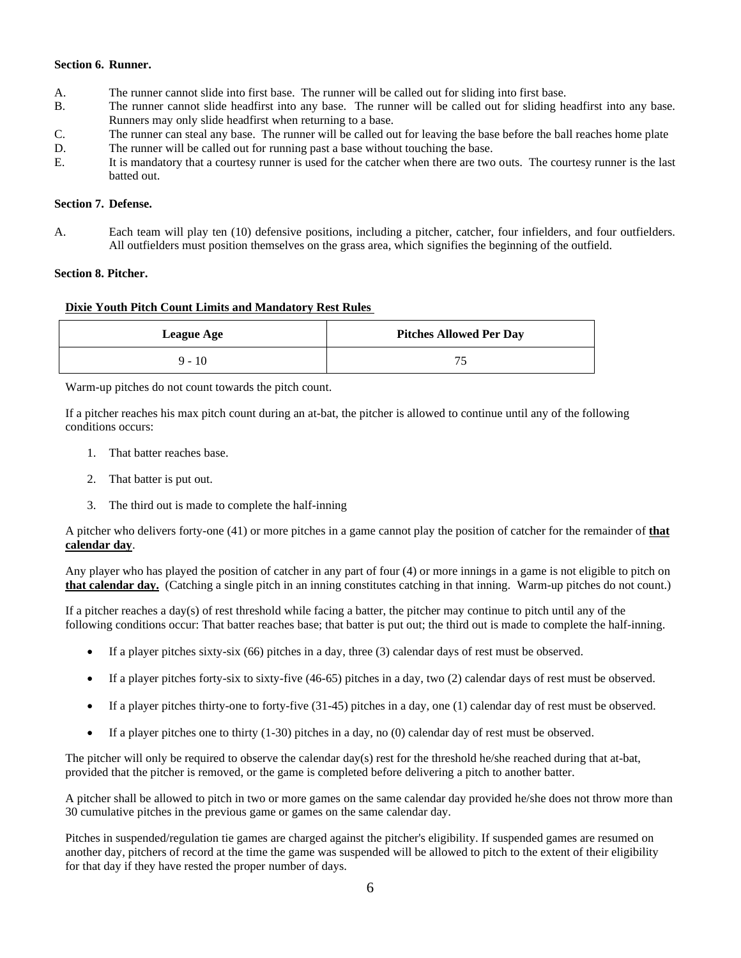#### **Section 6. Runner.**

- A. The runner cannot slide into first base. The runner will be called out for sliding into first base.
- B. The runner cannot slide headfirst into any base. The runner will be called out for sliding headfirst into any base. Runners may only slide headfirst when returning to a base.
- C. The runner can steal any base. The runner will be called out for leaving the base before the ball reaches home plate
- D. The runner will be called out for running past a base without touching the base.
- E. It is mandatory that a courtesy runner is used for the catcher when there are two outs. The courtesy runner is the last batted out.

### **Section 7. Defense.**

A. Each team will play ten (10) defensive positions, including a pitcher, catcher, four infielders, and four outfielders. All outfielders must position themselves on the grass area, which signifies the beginning of the outfield.

#### **Section 8. Pitcher.**

#### **Dixie Youth Pitch Count Limits and Mandatory Rest Rules**

| <b>League Age</b> | <b>Pitches Allowed Per Day</b> |
|-------------------|--------------------------------|
| $9 - 10$          |                                |

Warm-up pitches do not count towards the pitch count.

If a pitcher reaches his max pitch count during an at-bat, the pitcher is allowed to continue until any of the following conditions occurs:

- 1. That batter reaches base.
- 2. That batter is put out.
- 3. The third out is made to complete the half-inning

A pitcher who delivers forty-one (41) or more pitches in a game cannot play the position of catcher for the remainder of **that calendar day**.

Any player who has played the position of catcher in any part of four (4) or more innings in a game is not eligible to pitch on **that calendar day.** (Catching a single pitch in an inning constitutes catching in that inning. Warm-up pitches do not count.)

If a pitcher reaches a day(s) of rest threshold while facing a batter, the pitcher may continue to pitch until any of the following conditions occur: That batter reaches base; that batter is put out; the third out is made to complete the half-inning.

- If a player pitches sixty-six (66) pitches in a day, three (3) calendar days of rest must be observed.
- If a player pitches forty-six to sixty-five (46-65) pitches in a day, two (2) calendar days of rest must be observed.
- If a player pitches thirty-one to forty-five (31-45) pitches in a day, one (1) calendar day of rest must be observed.
- If a player pitches one to thirty (1-30) pitches in a day, no (0) calendar day of rest must be observed.

The pitcher will only be required to observe the calendar day(s) rest for the threshold he/she reached during that at-bat, provided that the pitcher is removed, or the game is completed before delivering a pitch to another batter.

A pitcher shall be allowed to pitch in two or more games on the same calendar day provided he/she does not throw more than 30 cumulative pitches in the previous game or games on the same calendar day.

Pitches in suspended/regulation tie games are charged against the pitcher's eligibility. If suspended games are resumed on another day, pitchers of record at the time the game was suspended will be allowed to pitch to the extent of their eligibility for that day if they have rested the proper number of days.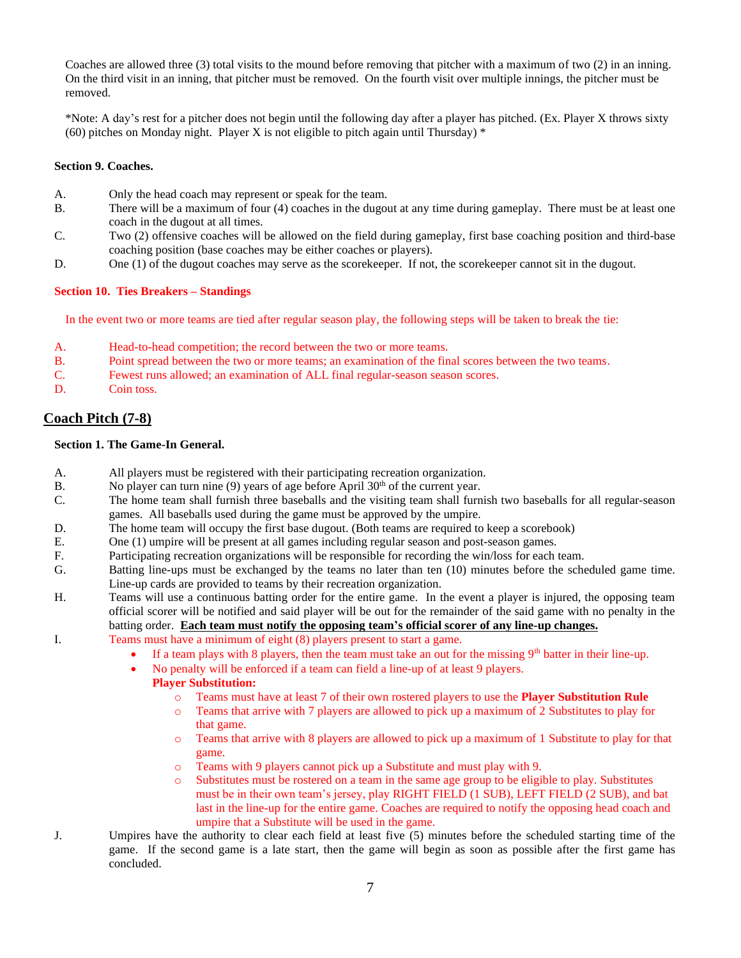Coaches are allowed three (3) total visits to the mound before removing that pitcher with a maximum of two (2) in an inning. On the third visit in an inning, that pitcher must be removed. On the fourth visit over multiple innings, the pitcher must be removed.

\*Note: A day's rest for a pitcher does not begin until the following day after a player has pitched. (Ex. Player X throws sixty (60) pitches on Monday night. Player X is not eligible to pitch again until Thursday)  $*$ 

#### **Section 9. Coaches.**

- A. Only the head coach may represent or speak for the team.
- B. There will be a maximum of four (4) coaches in the dugout at any time during gameplay. There must be at least one coach in the dugout at all times.
- C. Two (2) offensive coaches will be allowed on the field during gameplay, first base coaching position and third-base coaching position (base coaches may be either coaches or players).
- D. One (1) of the dugout coaches may serve as the scorekeeper. If not, the scorekeeper cannot sit in the dugout.

#### **Section 10. Ties Breakers – Standings**

In the event two or more teams are tied after regular season play, the following steps will be taken to break the tie:

- A. Head-to-head competition; the record between the two or more teams.
- B. Point spread between the two or more teams; an examination of the final scores between the two teams.
- C. Fewest runs allowed; an examination of ALL final regular-season season scores.
- D. Coin toss.

## **Coach Pitch (7-8)**

## **Section 1. The Game-In General.**

- A. All players must be registered with their participating recreation organization.
- B. No player can turn nine  $(9)$  years of age before April  $30<sup>th</sup>$  of the current year.
- C. The home team shall furnish three baseballs and the visiting team shall furnish two baseballs for all regular-season games. All baseballs used during the game must be approved by the umpire.
- D. The home team will occupy the first base dugout. (Both teams are required to keep a scorebook)
- E. One (1) umpire will be present at all games including regular season and post-season games.
- F. Participating recreation organizations will be responsible for recording the win/loss for each team.
- G. Batting line-ups must be exchanged by the teams no later than ten (10) minutes before the scheduled game time. Line-up cards are provided to teams by their recreation organization.
- H. Teams will use a continuous batting order for the entire game. In the event a player is injured, the opposing team official scorer will be notified and said player will be out for the remainder of the said game with no penalty in the batting order. **Each team must notify the opposing team's official scorer of any line-up changes.**
- I. Teams must have a minimum of eight (8) players present to start a game.
	- If a team plays with 8 players, then the team must take an out for the missing  $9<sup>th</sup>$  batter in their line-up.
	- No penalty will be enforced if a team can field a line-up of at least 9 players.

## **Player Substitution:**

- o Teams must have at least 7 of their own rostered players to use the **Player Substitution Rule**
- o Teams that arrive with 7 players are allowed to pick up a maximum of 2 Substitutes to play for that game.
- o Teams that arrive with 8 players are allowed to pick up a maximum of 1 Substitute to play for that game.
- o Teams with 9 players cannot pick up a Substitute and must play with 9.
- o Substitutes must be rostered on a team in the same age group to be eligible to play. Substitutes must be in their own team's jersey, play RIGHT FIELD (1 SUB), LEFT FIELD (2 SUB), and bat last in the line-up for the entire game. Coaches are required to notify the opposing head coach and umpire that a Substitute will be used in the game.
- J. Umpires have the authority to clear each field at least five (5) minutes before the scheduled starting time of the game. If the second game is a late start, then the game will begin as soon as possible after the first game has concluded.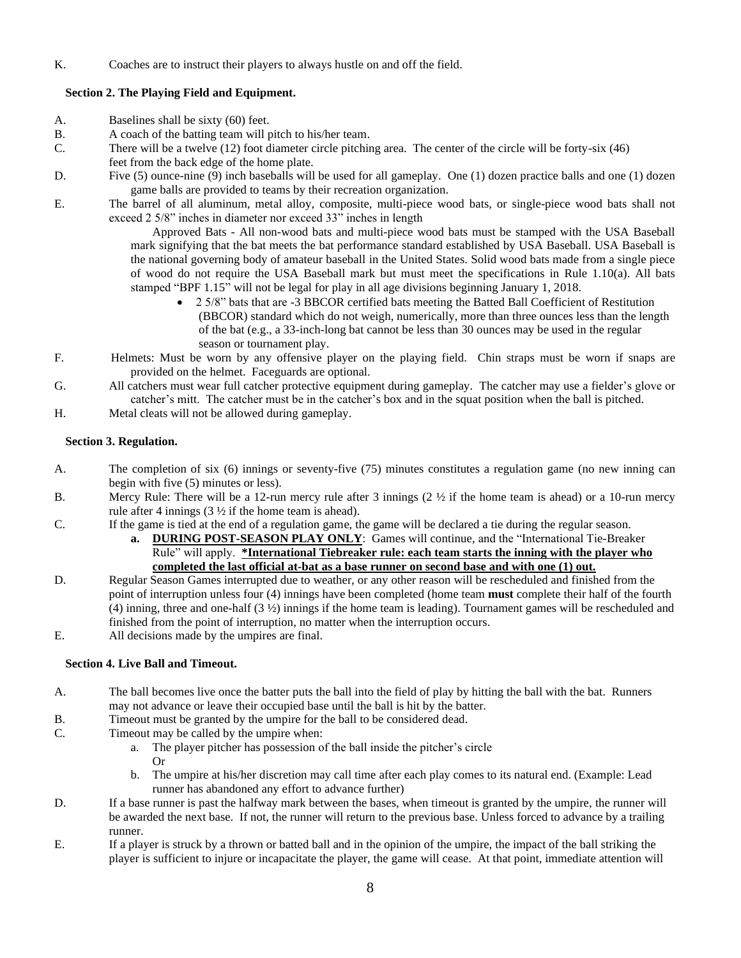K. Coaches are to instruct their players to always hustle on and off the field.

## **Section 2. The Playing Field and Equipment.**

- A. Baselines shall be sixty (60) feet.
- B. A coach of the batting team will pitch to his/her team.
- C. There will be a twelve (12) foot diameter circle pitching area. The center of the circle will be forty-six (46)
- feet from the back edge of the home plate.
- D. Five (5) ounce-nine (9) inch baseballs will be used for all gameplay. One (1) dozen practice balls and one (1) dozen game balls are provided to teams by their recreation organization.
- E. The barrel of all aluminum, metal alloy, composite, multi-piece wood bats, or single-piece wood bats shall not exceed 2 5/8" inches in diameter nor exceed 33" inches in length

Approved Bats - All non-wood bats and multi-piece wood bats must be stamped with the USA Baseball mark signifying that the bat meets the bat performance standard established by USA Baseball. USA Baseball is the national governing body of amateur baseball in the United States. Solid wood bats made from a single piece of wood do not require the USA Baseball mark but must meet the specifications in Rule 1.10(a). All bats stamped "BPF 1.15" will not be legal for play in all age divisions beginning January 1, 2018.

- 2 5/8" bats that are -3 BBCOR certified bats meeting the Batted Ball Coefficient of Restitution (BBCOR) standard which do not weigh, numerically, more than three ounces less than the length of the bat (e.g., a 33-inch-long bat cannot be less than 30 ounces may be used in the regular season or tournament play.
- F. Helmets: Must be worn by any offensive player on the playing field. Chin straps must be worn if snaps are provided on the helmet. Faceguards are optional.
- G. All catchers must wear full catcher protective equipment during gameplay. The catcher may use a fielder's glove or catcher's mitt. The catcher must be in the catcher's box and in the squat position when the ball is pitched.
- H. Metal cleats will not be allowed during gameplay.

## **Section 3. Regulation.**

- A. The completion of six (6) innings or seventy-five (75) minutes constitutes a regulation game (no new inning can begin with five (5) minutes or less).
- B. Mercy Rule: There will be a 12-run mercy rule after 3 innings (2 ½ if the home team is ahead) or a 10-run mercy rule after 4 innings  $(3 \frac{1}{2})$  if the home team is ahead).
- C. If the game is tied at the end of a regulation game, the game will be declared a tie during the regular season.
	- **a. DURING POST-SEASON PLAY ONLY**: Games will continue, and the "International Tie-Breaker Rule" will apply. **\*International Tiebreaker rule: each team starts the inning with the player who completed the last official at-bat as a base runner on second base and with one (1) out.**
- D. Regular Season Games interrupted due to weather, or any other reason will be rescheduled and finished from the point of interruption unless four (4) innings have been completed (home team **must** complete their half of the fourth (4) inning, three and one-half (3 ½) innings if the home team is leading). Tournament games will be rescheduled and finished from the point of interruption, no matter when the interruption occurs.
- E. All decisions made by the umpires are final.

## **Section 4. Live Ball and Timeout.**

- A. The ball becomes live once the batter puts the ball into the field of play by hitting the ball with the bat. Runners may not advance or leave their occupied base until the ball is hit by the batter.
- B. Timeout must be granted by the umpire for the ball to be considered dead.
- C. Timeout may be called by the umpire when:
	- a. The player pitcher has possession of the ball inside the pitcher's circle Or
	- b. The umpire at his/her discretion may call time after each play comes to its natural end. (Example: Lead runner has abandoned any effort to advance further)
- D. If a base runner is past the halfway mark between the bases, when timeout is granted by the umpire, the runner will be awarded the next base. If not, the runner will return to the previous base. Unless forced to advance by a trailing runner.
- E. If a player is struck by a thrown or batted ball and in the opinion of the umpire, the impact of the ball striking the player is sufficient to injure or incapacitate the player, the game will cease. At that point, immediate attention will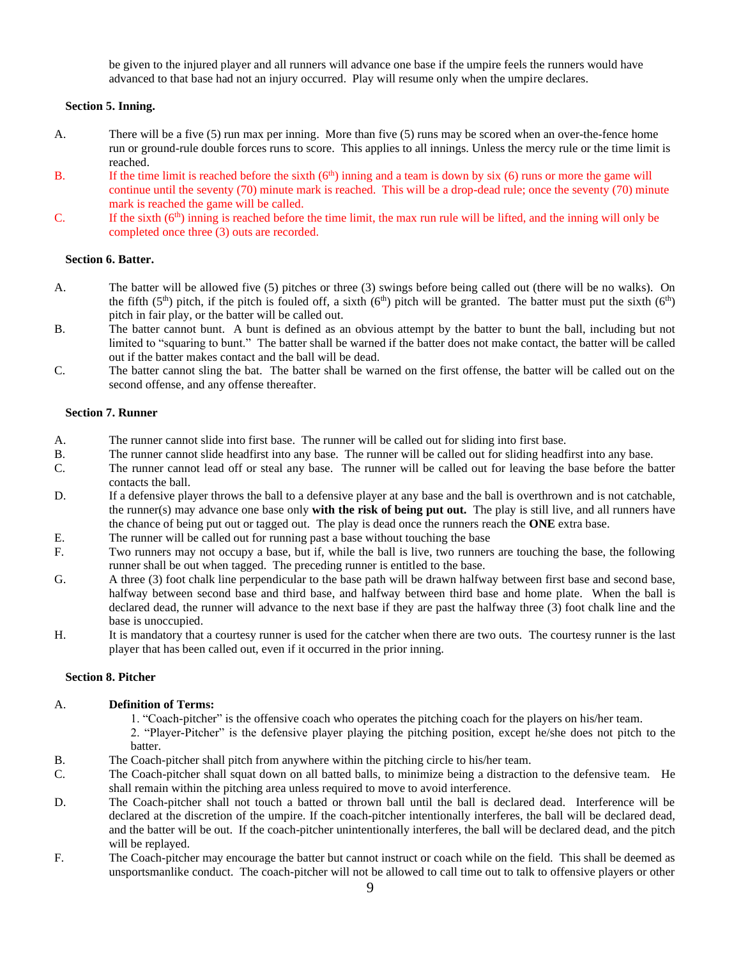be given to the injured player and all runners will advance one base if the umpire feels the runners would have advanced to that base had not an injury occurred. Play will resume only when the umpire declares.

## **Section 5. Inning.**

- A. There will be a five (5) run max per inning. More than five (5) runs may be scored when an over-the-fence home run or ground-rule double forces runs to score. This applies to all innings. Unless the mercy rule or the time limit is reached.
- B. If the time limit is reached before the sixth  $(6<sup>th</sup>)$  inning and a team is down by six  $(6)$  runs or more the game will continue until the seventy (70) minute mark is reached. This will be a drop-dead rule; once the seventy (70) minute mark is reached the game will be called.
- C. If the sixth  $(6<sup>th</sup>)$  inning is reached before the time limit, the max run rule will be lifted, and the inning will only be completed once three (3) outs are recorded.

#### **Section 6. Batter.**

- A. The batter will be allowed five (5) pitches or three (3) swings before being called out (there will be no walks). On the fifth (5<sup>th</sup>) pitch, if the pitch is fouled off, a sixth (6<sup>th</sup>) pitch will be granted. The batter must put the sixth (6<sup>th</sup>) pitch in fair play, or the batter will be called out.
- B. The batter cannot bunt. A bunt is defined as an obvious attempt by the batter to bunt the ball, including but not limited to "squaring to bunt." The batter shall be warned if the batter does not make contact, the batter will be called out if the batter makes contact and the ball will be dead.
- C. The batter cannot sling the bat. The batter shall be warned on the first offense, the batter will be called out on the second offense, and any offense thereafter.

#### **Section 7. Runner**

- A. The runner cannot slide into first base. The runner will be called out for sliding into first base.
- B. The runner cannot slide headfirst into any base. The runner will be called out for sliding headfirst into any base.
- C. The runner cannot lead off or steal any base. The runner will be called out for leaving the base before the batter contacts the ball.
- D. If a defensive player throws the ball to a defensive player at any base and the ball is overthrown and is not catchable, the runner(s) may advance one base only **with the risk of being put out.** The play is still live, and all runners have the chance of being put out or tagged out. The play is dead once the runners reach the **ONE** extra base.
- E. The runner will be called out for running past a base without touching the base
- F. Two runners may not occupy a base, but if, while the ball is live, two runners are touching the base, the following runner shall be out when tagged. The preceding runner is entitled to the base.
- G. A three (3) foot chalk line perpendicular to the base path will be drawn halfway between first base and second base, halfway between second base and third base, and halfway between third base and home plate. When the ball is declared dead, the runner will advance to the next base if they are past the halfway three (3) foot chalk line and the base is unoccupied.
- H. It is mandatory that a courtesy runner is used for the catcher when there are two outs. The courtesy runner is the last player that has been called out, even if it occurred in the prior inning.

#### **Section 8. Pitcher**

#### A. **Definition of Terms:**

1. "Coach-pitcher" is the offensive coach who operates the pitching coach for the players on his/her team.

2. "Player-Pitcher" is the defensive player playing the pitching position, except he/she does not pitch to the batter.

- B. The Coach-pitcher shall pitch from anywhere within the pitching circle to his/her team.
- C. The Coach-pitcher shall squat down on all batted balls, to minimize being a distraction to the defensive team. He shall remain within the pitching area unless required to move to avoid interference.
- D. The Coach-pitcher shall not touch a batted or thrown ball until the ball is declared dead. Interference will be declared at the discretion of the umpire. If the coach-pitcher intentionally interferes, the ball will be declared dead, and the batter will be out. If the coach-pitcher unintentionally interferes, the ball will be declared dead, and the pitch will be replayed.
- F. The Coach-pitcher may encourage the batter but cannot instruct or coach while on the field. This shall be deemed as unsportsmanlike conduct. The coach-pitcher will not be allowed to call time out to talk to offensive players or other